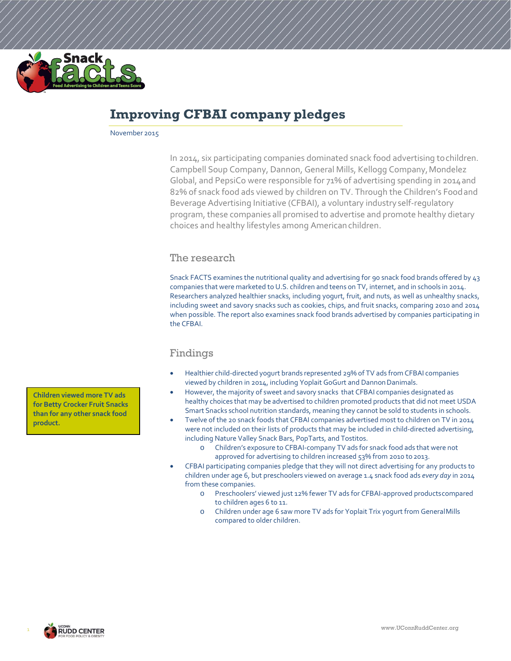

# **Improving CFBAI company pledges**

November 2015

In 2014, six participating companies dominated snack food advertising tochildren. Campbell Soup Company, Dannon, General Mills, Kellogg Company,Mondelez Global, and PepsiCo were responsible for 71% of advertising spending in 2014and 82% of snack food ads viewed by children on TV. Through the Children's Foodand Beverage Advertising Initiative (CFBAI), a voluntary industryself-regulatory program, these companies all promised to advertise and promote healthy dietary choices and healthy lifestyles among American children.

## The research

Snack FACTS examines the nutritional quality and advertising for 90 snack food brands offered by 43 companies that were marketed to U.S. children and teens on TV, internet, and in schools in 2014. Researchers analyzed healthier snacks, including yogurt, fruit, and nuts, as well as unhealthy snacks, including sweet and savory snacks such as cookies, chips, and fruit snacks, comparing 2010 and 2014 when possible. The report also examines snack food brands advertised by companies participating in the CFBAI.

## Findings

- Healthier child-directed yogurt brands represented 29% of TV ads from CFBAI companies viewed by children in 2014, including Yoplait GoGurt and Dannon Danimals.
- However, the majority of sweet and savory snacks that CFBAI companies designated as healthy choices that may be advertised to children promoted products that did not meet USDA Smart Snacks school nutrition standards, meaning they cannot be sold to students in schools.
- Twelve of the 20 snack foods that CFBAI companies advertised most to children on TV in 2014 were not included on their lists of products that may be included in child-directed advertising, including Nature Valley Snack Bars, PopTarts, and Tostitos.
	- o Children's exposure to CFBAI-company TV ads for snack food ads that were not approved for advertising to children increased 53% from 2010 to 2013.
- CFBAI participating companies pledge that they will not direct advertising for any products to children under age 6, but preschoolers viewed on average 1.4 snack food ads *every day* in 2014 from these companies.
	- o Preschoolers' viewed just 12% fewer TV ads for CFBAI-approved productscompared to children ages 6 to 11.
	- o Children under age 6 saw more TV ads for Yoplait Trix yogurt from GeneralMills compared to older children.

**Children viewed more TV ads for Betty Crocker Fruit Snacks than for any other snack food product.**